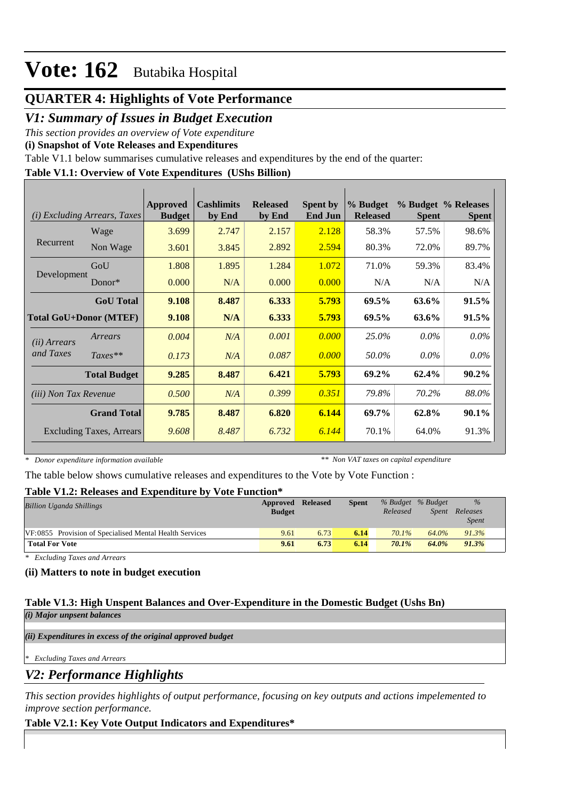## **QUARTER 4: Highlights of Vote Performance**

## *V1: Summary of Issues in Budget Execution*

*This section provides an overview of Vote expenditure* 

**(i) Snapshot of Vote Releases and Expenditures**

Table V1.1 below summarises cumulative releases and expenditures by the end of the quarter:

## **Table V1.1: Overview of Vote Expenditures (UShs Billion)**

|                               | (i) Excluding Arrears, Taxes    | Approved<br><b>Budget</b> | <b>Cashlimits</b><br>by End | <b>Released</b><br>by End | <b>Spent by</b><br><b>End Jun</b> | % Budget<br><b>Released</b> | <b>Spent</b> | % Budget % Releases<br><b>Spent</b> |
|-------------------------------|---------------------------------|---------------------------|-----------------------------|---------------------------|-----------------------------------|-----------------------------|--------------|-------------------------------------|
|                               | Wage                            | 3.699                     | 2.747                       | 2.157                     | 2.128                             | 58.3%                       | 57.5%        | 98.6%                               |
| Recurrent                     | Non Wage                        | 3.601                     | 3.845                       | 2.892                     | 2.594                             | 80.3%                       | 72.0%        | 89.7%                               |
|                               | GoU                             | 1.808                     | 1.895                       | 1.284                     | 1.072                             | 71.0%                       | 59.3%        | 83.4%                               |
| Development                   | $Donor*$                        | 0.000                     | N/A                         | 0.000                     | 0.000                             | N/A                         | N/A          | N/A                                 |
|                               | <b>GoU</b> Total                | 9.108                     | 8.487                       | 6.333                     | 5.793                             | 69.5%                       | 63.6%        | 91.5%                               |
| <b>Total GoU+Donor (MTEF)</b> |                                 | 9.108                     | N/A                         | 6.333                     | 5.793                             | $69.5\%$                    | 63.6%        | 91.5%                               |
| ( <i>ii</i> ) Arrears         | Arrears                         | 0.004                     | N/A                         | 0.001                     | 0.000                             | 25.0%                       | $0.0\%$      | $0.0\%$                             |
| and Taxes                     | $Taxes**$                       | 0.173                     | N/A                         | 0.087                     | 0.000                             | 50.0%                       | $0.0\%$      | $0.0\%$                             |
|                               | <b>Total Budget</b>             | 9.285                     | 8.487                       | 6.421                     | 5.793                             | 69.2%                       | 62.4%        | $90.2\%$                            |
| (iii) Non Tax Revenue         |                                 | 0.500                     | N/A                         | 0.399                     | 0.351                             | 79.8%                       | 70.2%        | 88.0%                               |
|                               | <b>Grand Total</b>              | 9.785                     | 8.487                       | 6.820                     | 6.144                             | 69.7%                       | 62.8%        | 90.1%                               |
|                               | <b>Excluding Taxes, Arrears</b> | 9.608                     | 8.487                       | 6.732                     | 6.144                             | 70.1%                       | 64.0%        | 91.3%                               |

*\* Donor expenditure information available*

*\*\* Non VAT taxes on capital expenditure*

The table below shows cumulative releases and expenditures to the Vote by Vote Function :

### **Table V1.2: Releases and Expenditure by Vote Function\***

| <b>Billion Uganda Shillings</b>                         | Approved<br><b>Budget</b> | <b>Released</b> | <b>Spent</b> | % Budget % Budget<br>Released | Spent | $\%$<br>Releases<br><i>Spent</i> |
|---------------------------------------------------------|---------------------------|-----------------|--------------|-------------------------------|-------|----------------------------------|
| VF:0855 Provision of Specialised Mental Health Services | 9.61                      | 6.73            | 6.14         | $70.1\%$                      | 64.0% | 91.3%                            |
| <b>Total For Vote</b>                                   | 9.61                      | 6.73            | 6.14         | 70.1%                         | 64.0% | 91.3%                            |

*\* Excluding Taxes and Arrears*

### **(ii) Matters to note in budget execution**

#### **Table V1.3: High Unspent Balances and Over-Expenditure in the Domestic Budget (Ushs Bn)** *(i) Major unpsent balances*

*(ii) Expenditures in excess of the original approved budget*

*\* Excluding Taxes and Arrears*

*V2: Performance Highlights*

*This section provides highlights of output performance, focusing on key outputs and actions impelemented to improve section performance.*

### **Table V2.1: Key Vote Output Indicators and Expenditures\***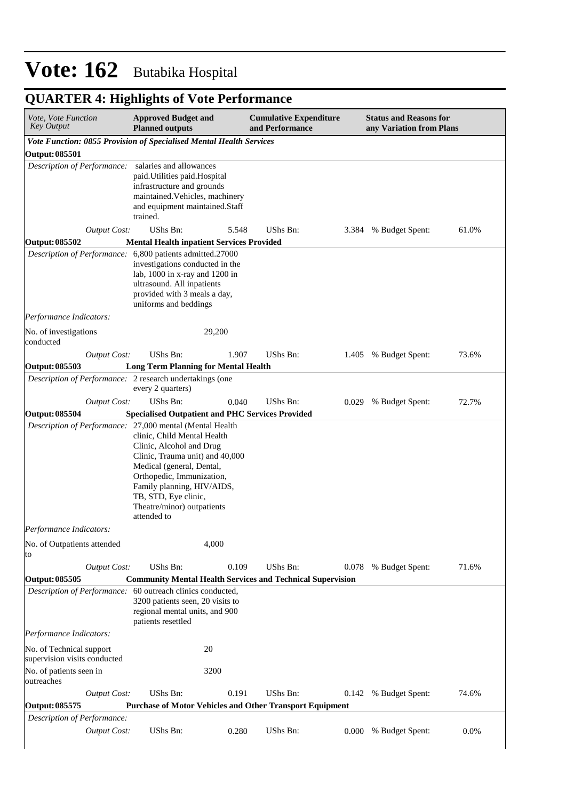# **QUARTER 4: Highlights of Vote Performance**

| Vote, Vote Function<br><b>Key Output</b>                 | <b>Approved Budget and</b><br><b>Planned outputs</b>                                                                                                                                                                                                                                                                | <b>Cumulative Expenditure</b><br>and Performance |       | <b>Status and Reasons for</b><br>any Variation from Plans |       |
|----------------------------------------------------------|---------------------------------------------------------------------------------------------------------------------------------------------------------------------------------------------------------------------------------------------------------------------------------------------------------------------|--------------------------------------------------|-------|-----------------------------------------------------------|-------|
|                                                          | Vote Function: 0855 Provision of Specialised Mental Health Services                                                                                                                                                                                                                                                 |                                                  |       |                                                           |       |
| <b>Output: 085501</b>                                    |                                                                                                                                                                                                                                                                                                                     |                                                  |       |                                                           |       |
| Description of Performance:                              | salaries and allowances<br>paid. Utilities paid. Hospital<br>infrastructure and grounds<br>maintained. Vehicles, machinery<br>and equipment maintained.Staff<br>trained.                                                                                                                                            |                                                  |       |                                                           |       |
| <b>Output Cost:</b>                                      | UShs Bn:<br>5.548                                                                                                                                                                                                                                                                                                   | UShs Bn:                                         |       | 3.384 % Budget Spent:                                     | 61.0% |
| Output: 085502                                           | <b>Mental Health inpatient Services Provided</b>                                                                                                                                                                                                                                                                    |                                                  |       |                                                           |       |
|                                                          | Description of Performance: 6,800 patients admitted.27000<br>investigations conducted in the<br>lab, 1000 in x-ray and 1200 in<br>ultrasound. All inpatients<br>provided with 3 meals a day,<br>uniforms and beddings                                                                                               |                                                  |       |                                                           |       |
| Performance Indicators:                                  |                                                                                                                                                                                                                                                                                                                     |                                                  |       |                                                           |       |
| No. of investigations<br>conducted                       | 29,200                                                                                                                                                                                                                                                                                                              |                                                  |       |                                                           |       |
| <b>Output Cost:</b>                                      | UShs Bn:<br>1.907                                                                                                                                                                                                                                                                                                   | UShs Bn:                                         |       | 1.405 % Budget Spent:                                     | 73.6% |
| Output: 085503                                           | <b>Long Term Planning for Mental Health</b>                                                                                                                                                                                                                                                                         |                                                  |       |                                                           |       |
|                                                          | Description of Performance: 2 research undertakings (one<br>every 2 quarters)                                                                                                                                                                                                                                       |                                                  |       |                                                           |       |
| <b>Output Cost:</b>                                      | UShs Bn:<br>0.040                                                                                                                                                                                                                                                                                                   | UShs Bn:                                         | 0.029 | % Budget Spent:                                           | 72.7% |
| Output: 085504                                           | <b>Specialised Outpatient and PHC Services Provided</b>                                                                                                                                                                                                                                                             |                                                  |       |                                                           |       |
|                                                          | Description of Performance: 27,000 mental (Mental Health<br>clinic, Child Mental Health<br>Clinic, Alcohol and Drug<br>Clinic, Trauma unit) and 40,000<br>Medical (general, Dental,<br>Orthopedic, Immunization,<br>Family planning, HIV/AIDS,<br>TB, STD, Eye clinic,<br>Theatre/minor) outpatients<br>attended to |                                                  |       |                                                           |       |
| Performance Indicators:                                  |                                                                                                                                                                                                                                                                                                                     |                                                  |       |                                                           |       |
| No. of Outpatients attended<br>to                        | 4,000                                                                                                                                                                                                                                                                                                               |                                                  |       |                                                           |       |
| <b>Output Cost:</b>                                      | UShs Bn:<br>0.109                                                                                                                                                                                                                                                                                                   | UShs Bn:                                         |       | 0.078 % Budget Spent:                                     | 71.6% |
| <b>Output: 085505</b>                                    | <b>Community Mental Health Services and Technical Supervision</b>                                                                                                                                                                                                                                                   |                                                  |       |                                                           |       |
|                                                          | Description of Performance: 60 outreach clinics conducted,<br>3200 patients seen, 20 visits to<br>regional mental units, and 900<br>patients resettled                                                                                                                                                              |                                                  |       |                                                           |       |
| Performance Indicators:                                  |                                                                                                                                                                                                                                                                                                                     |                                                  |       |                                                           |       |
| No. of Technical support<br>supervision visits conducted | 20                                                                                                                                                                                                                                                                                                                  |                                                  |       |                                                           |       |
| No. of patients seen in<br>outreaches                    | 3200                                                                                                                                                                                                                                                                                                                |                                                  |       |                                                           |       |
| <b>Output Cost:</b>                                      | UShs Bn:<br>0.191                                                                                                                                                                                                                                                                                                   | UShs Bn:                                         | 0.142 | % Budget Spent:                                           | 74.6% |
| Output: 085575                                           | <b>Purchase of Motor Vehicles and Other Transport Equipment</b>                                                                                                                                                                                                                                                     |                                                  |       |                                                           |       |
| Description of Performance:                              |                                                                                                                                                                                                                                                                                                                     |                                                  |       |                                                           |       |
| <b>Output Cost:</b>                                      | UShs Bn:<br>0.280                                                                                                                                                                                                                                                                                                   | UShs Bn:                                         | 0.000 | % Budget Spent:                                           | 0.0%  |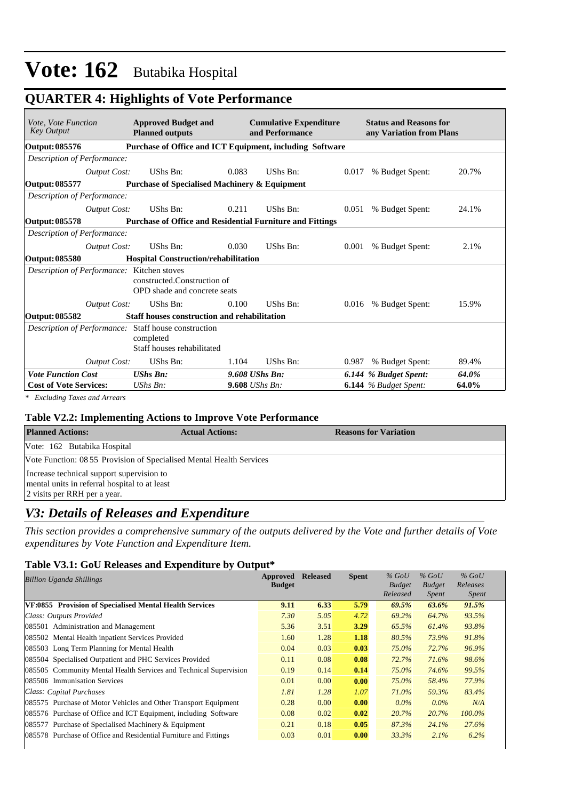**QUARTER 4: Highlights of Vote Performance**

| Vote, Vote Function<br><b>Key Output</b>   |                                                          | <b>Approved Budget and</b><br><b>Planned outputs</b>                                            |                | <b>Cumulative Expenditure</b><br>and Performance |       | <b>Status and Reasons for</b><br>any Variation from Plans |       |  |  |
|--------------------------------------------|----------------------------------------------------------|-------------------------------------------------------------------------------------------------|----------------|--------------------------------------------------|-------|-----------------------------------------------------------|-------|--|--|
| Output: 085576                             | Purchase of Office and ICT Equipment, including Software |                                                                                                 |                |                                                  |       |                                                           |       |  |  |
| Description of Performance:                |                                                          |                                                                                                 |                |                                                  |       |                                                           |       |  |  |
|                                            | <b>Output Cost:</b>                                      | UShs Bn:                                                                                        | 0.083          | UShs Bn:                                         | 0.017 | % Budget Spent:                                           | 20.7% |  |  |
| Output: 085577                             |                                                          | <b>Purchase of Specialised Machinery &amp; Equipment</b>                                        |                |                                                  |       |                                                           |       |  |  |
| Description of Performance:                |                                                          |                                                                                                 |                |                                                  |       |                                                           |       |  |  |
|                                            | <b>Output Cost:</b>                                      | UShs Bn:                                                                                        | 0.211          | UShs Bn:                                         | 0.051 | % Budget Spent:                                           | 24.1% |  |  |
| <b>Output: 085578</b>                      |                                                          | <b>Purchase of Office and Residential Furniture and Fittings</b>                                |                |                                                  |       |                                                           |       |  |  |
| Description of Performance:                |                                                          |                                                                                                 |                |                                                  |       |                                                           |       |  |  |
|                                            | Output Cost:                                             | UShs Bn:                                                                                        | 0.030          | UShs Bn:                                         | 0.001 | % Budget Spent:                                           | 2.1%  |  |  |
| Output: 085580                             |                                                          | <b>Hospital Construction/rehabilitation</b>                                                     |                |                                                  |       |                                                           |       |  |  |
| Description of Performance: Kitchen stoves |                                                          | constructed.Construction of<br>OPD shade and concrete seats                                     |                |                                                  |       |                                                           |       |  |  |
|                                            | <b>Output Cost:</b>                                      | <b>UShs Bn:</b>                                                                                 | 0.100          | UShs Bn:                                         |       | 0.016 % Budget Spent:                                     | 15.9% |  |  |
| Output: 085582                             |                                                          | Staff houses construction and rehabilitation                                                    |                |                                                  |       |                                                           |       |  |  |
|                                            |                                                          | Description of Performance: Staff house construction<br>completed<br>Staff houses rehabilitated |                |                                                  |       |                                                           |       |  |  |
|                                            | <b>Output Cost:</b>                                      | UShs Bn:                                                                                        | 1.104          | UShs Bn:                                         | 0.987 | % Budget Spent:                                           | 89.4% |  |  |
| <b>Vote Function Cost</b>                  |                                                          | <b>UShs Bn:</b>                                                                                 | 9.608 UShs Bn: |                                                  |       | 6.144 % Budget Spent:                                     | 64.0% |  |  |
| <b>Cost of Vote Services:</b>              |                                                          | $UShs Bn$ :                                                                                     | 9.608 UShs Bn: |                                                  |       | <b>6.144</b> % Budget Spent:                              | 64.0% |  |  |
|                                            |                                                          |                                                                                                 |                |                                                  |       |                                                           |       |  |  |

*\* Excluding Taxes and Arrears*

#### **Table V2.2: Implementing Actions to Improve Vote Performance**

| <b>Planned Actions:</b>                                              | <b>Actual Actions:</b> | <b>Reasons for Variation</b> |
|----------------------------------------------------------------------|------------------------|------------------------------|
| Vote: 162 Butabika Hospital                                          |                        |                              |
| Vote Function: 08 55 Provision of Specialised Mental Health Services |                        |                              |
| Increase technical support supervision to                            |                        |                              |
| mental units in referral hospital to at least                        |                        |                              |
| 2 visits per RRH per a year.                                         |                        |                              |
|                                                                      |                        |                              |

## *V3: Details of Releases and Expenditure*

*This section provides a comprehensive summary of the outputs delivered by the Vote and further details of Vote expenditures by Vote Function and Expenditure Item.*

#### **Table V3.1: GoU Releases and Expenditure by Output\***

| <b>Billion Uganda Shillings</b>                                   | <b>Approved</b> | <b>Released</b> | <b>Spent</b> | $%$ GoU       | $%$ GoU       | $%$ GoU      |
|-------------------------------------------------------------------|-----------------|-----------------|--------------|---------------|---------------|--------------|
|                                                                   | <b>Budget</b>   |                 |              | <b>Budget</b> | <b>Budget</b> | Releases     |
|                                                                   |                 |                 |              | Released      | <i>Spent</i>  | <i>Spent</i> |
| VF:0855 Provision of Specialised Mental Health Services           | 9.11            | 6.33            | 5.79         | 69.5%         | 63.6%         | 91.5%        |
| Class: Outputs Provided                                           | 7.30            | 5.05            | 4.72         | 69.2%         | 64.7%         | 93.5%        |
| 085501 Administration and Management                              | 5.36            | 3.51            | 3.29         | 65.5%         | 61.4%         | 93.8%        |
| 085502 Mental Health inpatient Services Provided                  | 1.60            | 1.28            | 1.18         | 80.5%         | 73.9%         | 91.8%        |
| 085503 Long Term Planning for Mental Health                       | 0.04            | 0.03            | 0.03         | $75.0\%$      | 72.7%         | 96.9%        |
| 085504 Specialised Outpatient and PHC Services Provided           | 0.11            | 0.08            | 0.08         | 72.7%         | 71.6%         | 98.6%        |
| 085505 Community Mental Health Services and Technical Supervision | 0.19            | 0.14            | 0.14         | $75.0\%$      | 74.6%         | 99.5%        |
| 085506 Immunisation Services                                      | 0.01            | 0.00            | 0.00         | $75.0\%$      | 58.4%         | 77.9%        |
| Class: Capital Purchases                                          | 1.81            | 1.28            | 1.07         | $71.0\%$      | 59.3%         | 83.4%        |
| 085575 Purchase of Motor Vehicles and Other Transport Equipment   | 0.28            | 0.00            | 0.00         | $0.0\%$       | $0.0\%$       | N/A          |
| 085576 Purchase of Office and ICT Equipment, including Software   | 0.08            | 0.02            | 0.02         | 20.7%         | 20.7%         | $100.0\%$    |
| 085577 Purchase of Specialised Machinery & Equipment              | 0.21            | 0.18            | 0.05         | 87.3%         | 24.1%         | 27.6%        |
| 085578 Purchase of Office and Residential Furniture and Fittings  | 0.03            | 0.01            | 0.00         | 33.3%         | $2.1\%$       | $6.2\%$      |
|                                                                   |                 |                 |              |               |               |              |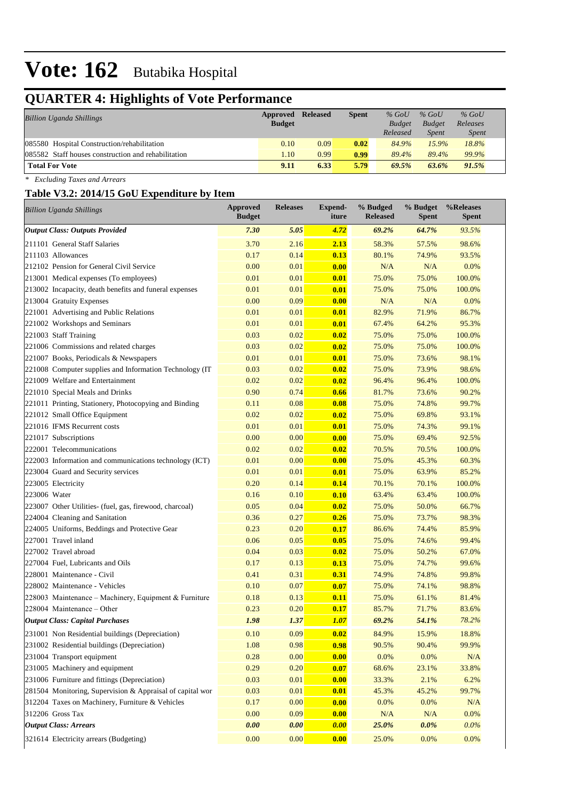# **QUARTER 4: Highlights of Vote Performance**

| <b>Billion Uganda Shillings</b>                     | <b>Approved Released</b> |      | <b>Spent</b> | $%$ GoU       | $%$ GoU       | $%$ GoU      |
|-----------------------------------------------------|--------------------------|------|--------------|---------------|---------------|--------------|
|                                                     | <b>Budget</b>            |      |              | <b>Budget</b> | <b>Budget</b> | Releases     |
|                                                     |                          |      |              | Released      | Spent         | <i>Spent</i> |
| 085580 Hospital Construction/rehabilitation         | 0.10                     | 0.09 | 0.02         | 84.9%         | 15.9%         | 18.8%        |
| 085582 Staff houses construction and rehabilitation | 1.10                     | 0.99 | 0.99         | 89.4%         | 89.4%         | 99.9%        |
| <b>Total For Vote</b>                               | 9.11                     | 6.33 | 5.79         | 69.5%         | 63.6%         | 91.5%        |

*\* Excluding Taxes and Arrears*

## **Table V3.2: 2014/15 GoU Expenditure by Item**

| <b>Billion Uganda Shillings</b>                           | <b>Approved</b><br><b>Budget</b> | <b>Releases</b> | <b>Expend-</b><br>iture | % Budged<br><b>Released</b> | % Budget<br><b>Spent</b> | %Releases<br>Spent |
|-----------------------------------------------------------|----------------------------------|-----------------|-------------------------|-----------------------------|--------------------------|--------------------|
| <b>Output Class: Outputs Provided</b>                     | 7.30                             | 5.05            | 4.72                    | 69.2%                       | 64.7%                    | 93.5%              |
| 211101 General Staff Salaries                             | 3.70                             | 2.16            | 2.13                    | 58.3%                       | 57.5%                    | 98.6%              |
| 211103 Allowances                                         | 0.17                             | 0.14            | 0.13                    | 80.1%                       | 74.9%                    | 93.5%              |
| 212102 Pension for General Civil Service                  | 0.00                             | 0.01            | 0.00                    | N/A                         | N/A                      | 0.0%               |
| 213001 Medical expenses (To employees)                    | 0.01                             | 0.01            | 0.01                    | 75.0%                       | 75.0%                    | 100.0%             |
| 213002 Incapacity, death benefits and funeral expenses    | 0.01                             | 0.01            | 0.01                    | 75.0%                       | 75.0%                    | 100.0%             |
| 213004 Gratuity Expenses                                  | 0.00                             | 0.09            | 0.00                    | N/A                         | N/A                      | 0.0%               |
| 221001 Advertising and Public Relations                   | 0.01                             | 0.01            | 0.01                    | 82.9%                       | 71.9%                    | 86.7%              |
| 221002 Workshops and Seminars                             | 0.01                             | 0.01            | 0.01                    | 67.4%                       | 64.2%                    | 95.3%              |
| 221003 Staff Training                                     | 0.03                             | 0.02            | 0.02                    | 75.0%                       | 75.0%                    | 100.0%             |
| 221006 Commissions and related charges                    | 0.03                             | 0.02            | 0.02                    | 75.0%                       | 75.0%                    | 100.0%             |
| 221007 Books, Periodicals & Newspapers                    | 0.01                             | 0.01            | 0.01                    | 75.0%                       | 73.6%                    | 98.1%              |
| 221008 Computer supplies and Information Technology (IT   | 0.03                             | 0.02            | 0.02                    | 75.0%                       | 73.9%                    | 98.6%              |
| 221009 Welfare and Entertainment                          | 0.02                             | 0.02            | 0.02                    | 96.4%                       | 96.4%                    | 100.0%             |
| 221010 Special Meals and Drinks                           | 0.90                             | 0.74            | 0.66                    | 81.7%                       | 73.6%                    | 90.2%              |
| 221011 Printing, Stationery, Photocopying and Binding     | 0.11                             | 0.08            | 0.08                    | 75.0%                       | 74.8%                    | 99.7%              |
| 221012 Small Office Equipment                             | 0.02                             | 0.02            | 0.02                    | 75.0%                       | 69.8%                    | 93.1%              |
| 221016 IFMS Recurrent costs                               | 0.01                             | 0.01            | 0.01                    | 75.0%                       | 74.3%                    | 99.1%              |
| 221017 Subscriptions                                      | 0.00                             | 0.00            | 0.00                    | 75.0%                       | 69.4%                    | 92.5%              |
| 222001 Telecommunications                                 | 0.02                             | 0.02            | 0.02                    | 70.5%                       | 70.5%                    | 100.0%             |
| 222003 Information and communications technology (ICT)    | 0.01                             | 0.00            | 0.00                    | 75.0%                       | 45.3%                    | 60.3%              |
| 223004 Guard and Security services                        | 0.01                             | 0.01            | 0.01                    | 75.0%                       | 63.9%                    | 85.2%              |
| 223005 Electricity                                        | 0.20                             | 0.14            | 0.14                    | 70.1%                       | 70.1%                    | 100.0%             |
| 223006 Water                                              | 0.16                             | 0.10            | 0.10                    | 63.4%                       | 63.4%                    | 100.0%             |
| 223007 Other Utilities- (fuel, gas, firewood, charcoal)   | 0.05                             | 0.04            | 0.02                    | 75.0%                       | 50.0%                    | 66.7%              |
| 224004 Cleaning and Sanitation                            | 0.36                             | 0.27            | 0.26                    | 75.0%                       | 73.7%                    | 98.3%              |
| 224005 Uniforms, Beddings and Protective Gear             | 0.23                             | 0.20            | 0.17                    | 86.6%                       | 74.4%                    | 85.9%              |
| 227001 Travel inland                                      | 0.06                             | 0.05            | 0.05                    | 75.0%                       | 74.6%                    | 99.4%              |
| 227002 Travel abroad                                      | 0.04                             | 0.03            | 0.02                    | 75.0%                       | 50.2%                    | 67.0%              |
| 227004 Fuel, Lubricants and Oils                          | 0.17                             | 0.13            | 0.13                    | 75.0%                       | 74.7%                    | 99.6%              |
| 228001 Maintenance - Civil                                | 0.41                             | 0.31            | 0.31                    | 74.9%                       | 74.8%                    | 99.8%              |
| 228002 Maintenance - Vehicles                             | 0.10                             | 0.07            | 0.07                    | 75.0%                       | 74.1%                    | 98.8%              |
| 228003 Maintenance – Machinery, Equipment & Furniture     | 0.18                             | 0.13            | 0.11                    | 75.0%                       | 61.1%                    | 81.4%              |
| 228004 Maintenance – Other                                | 0.23                             | 0.20            | 0.17                    | 85.7%                       | 71.7%                    | 83.6%              |
| <b>Output Class: Capital Purchases</b>                    | 1.98                             | 1.37            | <b>1.07</b>             | 69.2%                       | 54.1%                    | 78.2%              |
| 231001 Non Residential buildings (Depreciation)           | 0.10                             | 0.09            | 0.02                    | 84.9%                       | 15.9%                    | 18.8%              |
| 231002 Residential buildings (Depreciation)               | 1.08                             | 0.98            | 0.98                    | 90.5%                       | 90.4%                    | 99.9%              |
| 231004 Transport equipment                                | 0.28                             | 0.00            | 0.00                    | 0.0%                        | 0.0%                     | $\rm N/A$          |
| 231005 Machinery and equipment                            | 0.29                             | 0.20            | 0.07                    | 68.6%                       | 23.1%                    | 33.8%              |
| 231006 Furniture and fittings (Depreciation)              | 0.03                             | 0.01            | 0.00                    | 33.3%                       | 2.1%                     | 6.2%               |
| 281504 Monitoring, Supervision & Appraisal of capital wor | 0.03                             | 0.01            | 0.01                    | 45.3%                       | 45.2%                    | 99.7%              |
| 312204 Taxes on Machinery, Furniture & Vehicles           | 0.17                             | 0.00            | 0.00                    | 0.0%                        | 0.0%                     | $\rm N/A$          |
| 312206 Gross Tax                                          | 0.00                             | 0.09            | 0.00                    | N/A                         | $\rm N/A$                | 0.0%               |
| <b>Output Class: Arrears</b>                              | 0.00                             | 0.00            | 0.00                    | 25.0%                       | $0.0\%$                  | $0.0\%$            |
| 321614 Electricity arrears (Budgeting)                    | $0.00\,$                         | 0.00            | 0.00                    | 25.0%                       | 0.0%                     | 0.0%               |